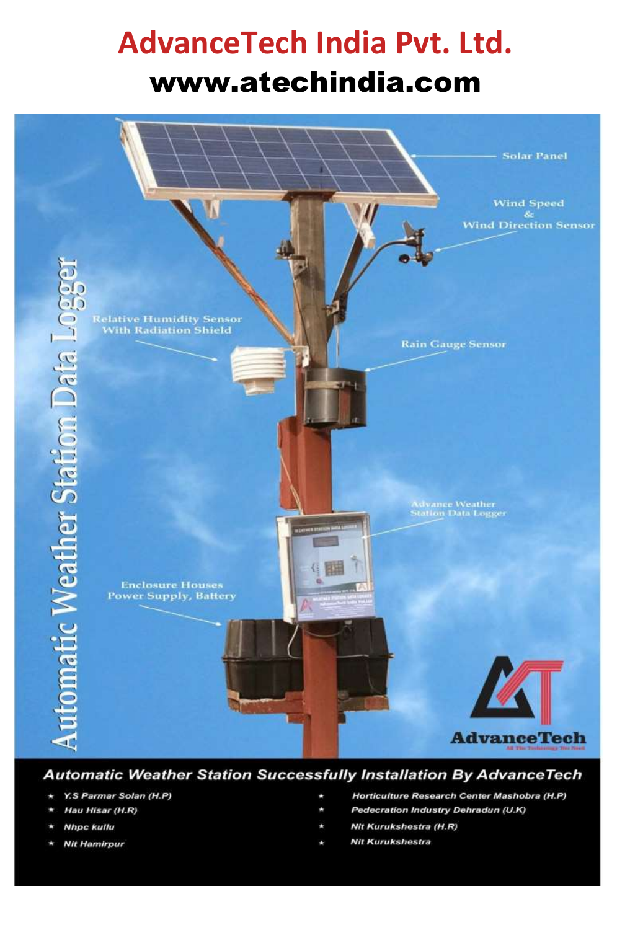## **AdvanceTech India Pvt. Ltd.** [www.atechindia.com](http://www.atechindia.com/)



### **Automatic Weather Station Successfully Installation By AdvanceTech**

- Y.S Parmar Solan (H.P)
- Hau Hisar (H.R)
- **Nhpc kullu**
- **Nit Hamirpur**
- Horticulture Research Center Mashobra (H.P)
- Pedecration Industry Dehradun (U.K)
- Nit Kurukshestra (H.R)
- **Nit Kurukshestra**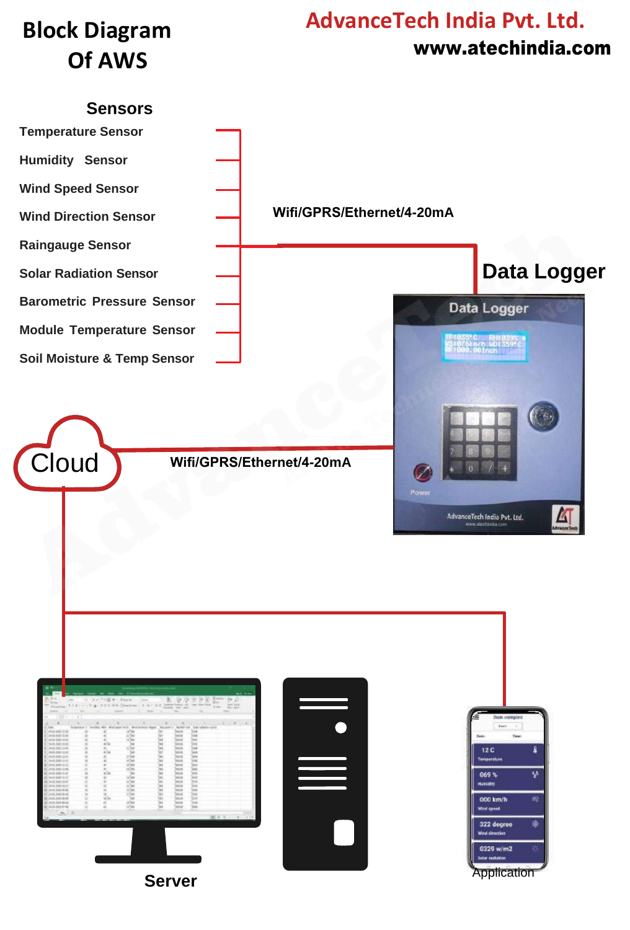## **Block Diagram Of AWS**

## **AdvanceTech India Pvt. Ltd.** [www.atechindia.com](http://www.atechindia.com/)

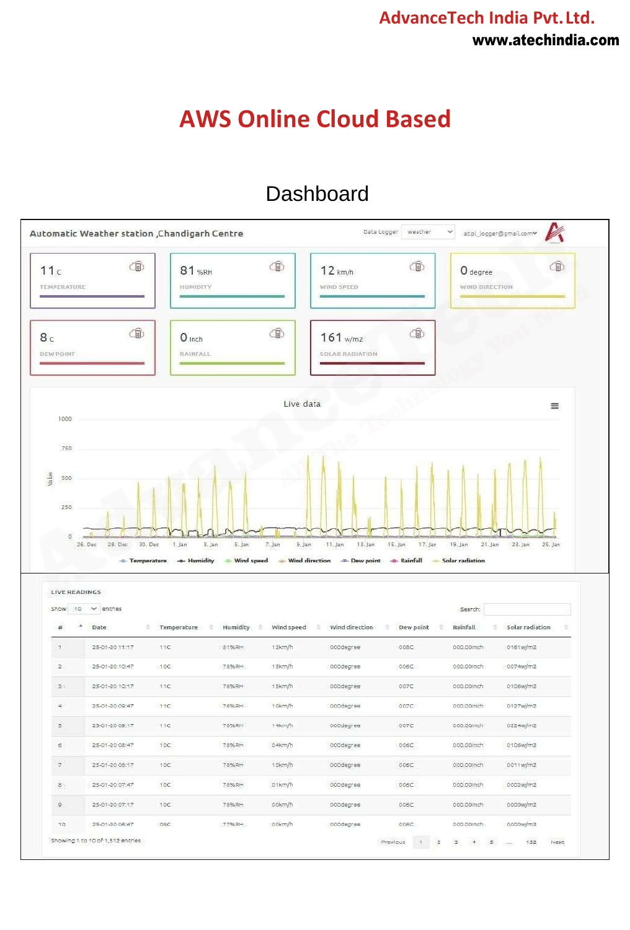### **AdvanceTech India Pvt.Ltd.** [www.atechindia.com](http://www.atechindia.com/)

## **AWS Online Cloud Based**

### Dashboard

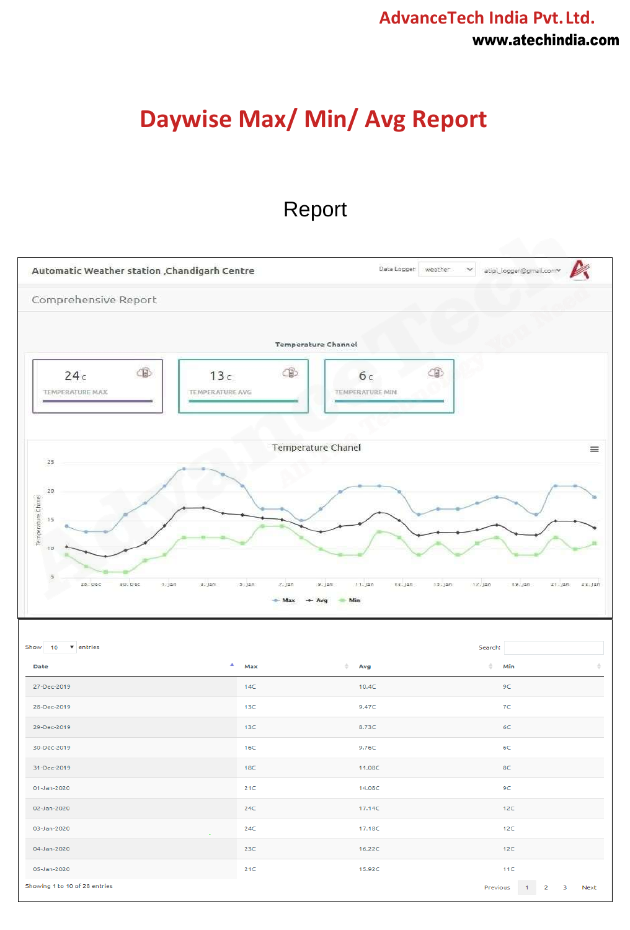### **AdvanceTech India Pvt.Ltd.** [www.atechindia.com](http://www.atechindia.com/)

## **Daywise Max/ Min/ Avg Report**

### Report

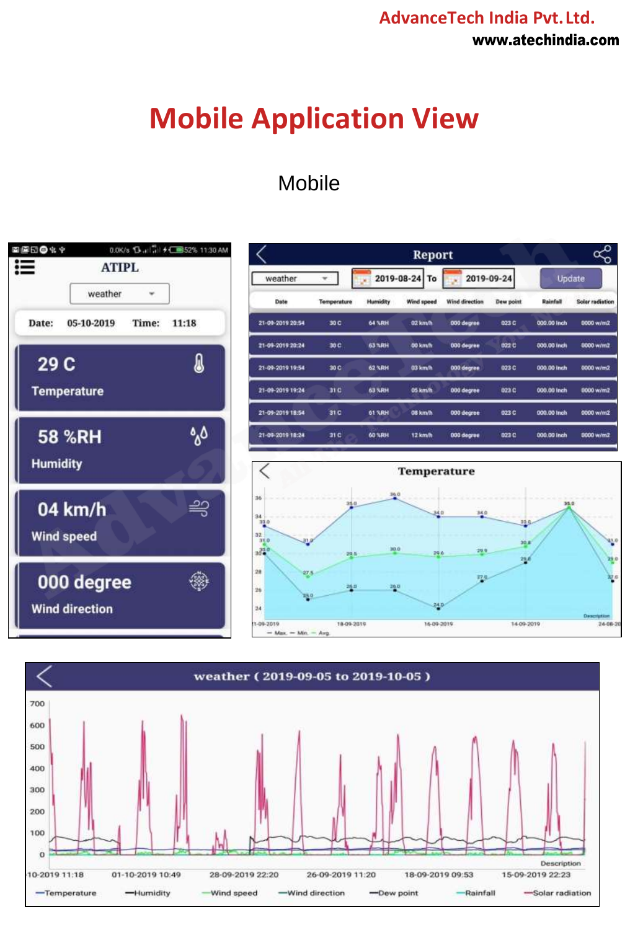### **AdvanceTech India Pvt.Ltd.** [www.atechindia.com](http://www.atechindia.com/)

## **Mobile Application View**

## Mobile



|                  |             | Report          |            |                |                  |               | $\mathcal{S}$          |
|------------------|-------------|-----------------|------------|----------------|------------------|---------------|------------------------|
| weather          |             | 2019-08-24 To   |            | 2019-09-24     |                  | <b>Update</b> |                        |
| Date             | Temperature | <b>Humidity</b> | Wind speed | Wind direction | <b>Dew point</b> | Rainfall      | <b>Solar radiation</b> |
| 21 09 2019 20:54 | 30 0        | 64 %RH          | 02 km/h    | 000 degree     | 023 C            | 000.00 Inch   | 0000 w/m2              |
| 21-09-2019 20:24 | 30 C        | 63 %RH          | 00 km/h    | 000 degree     | 022 C            | 000.00 inch   | 0000 w/m2              |
| 21-09-2019 19:54 | 30 C        | 62 SRH          | 03 km/h    | 000 degree     | 023 C            | 000.00 inch   | 0000 w/m2              |
| 21-09-2019 19:24 | 31 C        | 63 % RH         | 05 km/h    | 000 degree     | 023 C            | 000.00 Inch   | 0000 w/m2              |
| 21-09-2019 18:54 | 31 C        | <b>61 %RH</b>   | 08 km/h    | 000 degree     | 023 C            | 000.00 Inch   | 0000 w/m2              |
| 21-09-2019 18:24 | 31 C        | <b>60 %RH</b>   | 12 km/h    | 000 degree     | 023 C            | 000.00 Inch   | 0000 w/m2              |



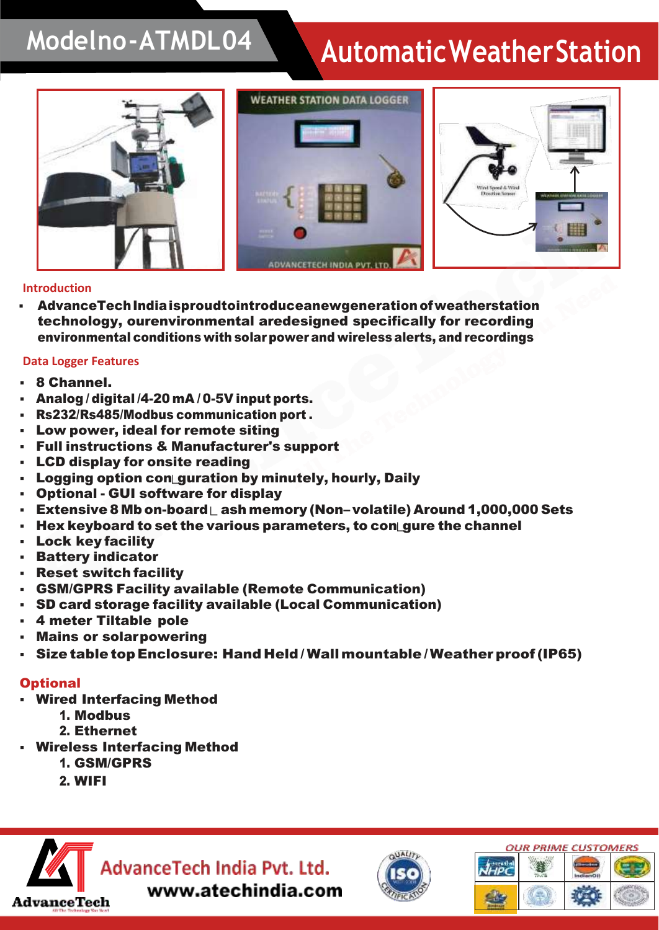## **Modelno-ATMDL04 AutomaticWeatherStation**



### **Introduction**

AdvanceTech India isproudtointroduceanewgeneration of weatherstation technology, ourenvironmental aredesigned specifically for recording environmental conditions with solarpowerand wirelessalerts, and recordings

### **Data Logger Features**

- 8 Channel.
- Analog / digital /4-20 mA / 0-5V input ports.
- Rs232/Rs485/Modbus communication port.
- Low power, ideal for remote siting
- **Full instructions & Manufacturer's support**
- **LCD display for onsite reading**
- Logging option con guration by minutely, hourly, Daily
- **Optional GUI software for display**
- **Extensive 8 Mb on-board**  $\mathsf{L}$  **ash memory (Non– volatile) Around 1,000,000 Sets**
- Hex keyboard to set the various parameters, to con gure the channel
- **Lock key facility**
- Battery indicator
- Reset switch facility
- GSM/GPRS Facility available (Remote Communication)
- SD card storage facility available (Local Communication)
- 4 meter Tiltable pole
- **Mains or solarpowering**
- Size table top Enclosure: Hand Held/Wall mountable/ Weather proof (IP65)

### **Optional**

- Wired Interfacing Method
	- 1. Modbus
	- 2. Ethernet
- **Wireless Interfacing Method** 
	- 1. GSM/GPRS
	- 2. WIFI





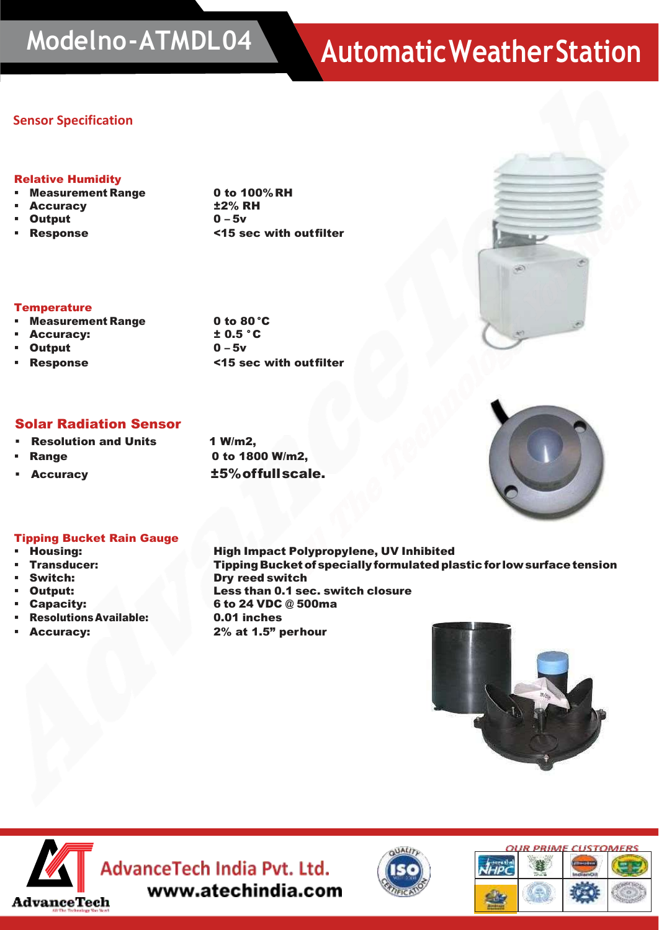# **Modelno-ATMDL04 AutomaticWeatherStation**

### **Sensor Specification**

#### Relative Humidity

- Measurement Range 0 to 100% RH
- 
- 
- 

Accuracy  $\pm 2\%$  RH  $Output$   $0 - 5v$ ▪ Response <15 sec with outfilter



### **Temperature** ■ Measurement Range 0 to 80 °C<br>■ Accuracy: to 0.5 °C

- **Accuracy:**
- Output 0 5v
- 

▪ Response <15 sec with outfilter

### Solar Radiation Sensor

- **Resolution and Units 1 W/m2.**
- 
- 

**Range 20 CO 1800 W/m2,** Accuracy **t5%offullscale.** 



#### Tipping Bucket Rain Gauge

- 
- 
- 
- 
- 
- ResolutionsAvailable: 0.01 inches
- 

▪ Housing: High Impact Polypropylene, UV Inhibited ▪ Transducer: TippingBucketof specially formulatedplastic for lowsurfacetension Switch: Dry reed switch ▪ Output: Less than 0.1 sec. switch closure ▪ Capacity: 6 to 24 VDC @ 500ma Accuracy: 2% at 1.5" perhour





**MAN** AdvanceTech India Pvt. Ltd. www.atechindia.com